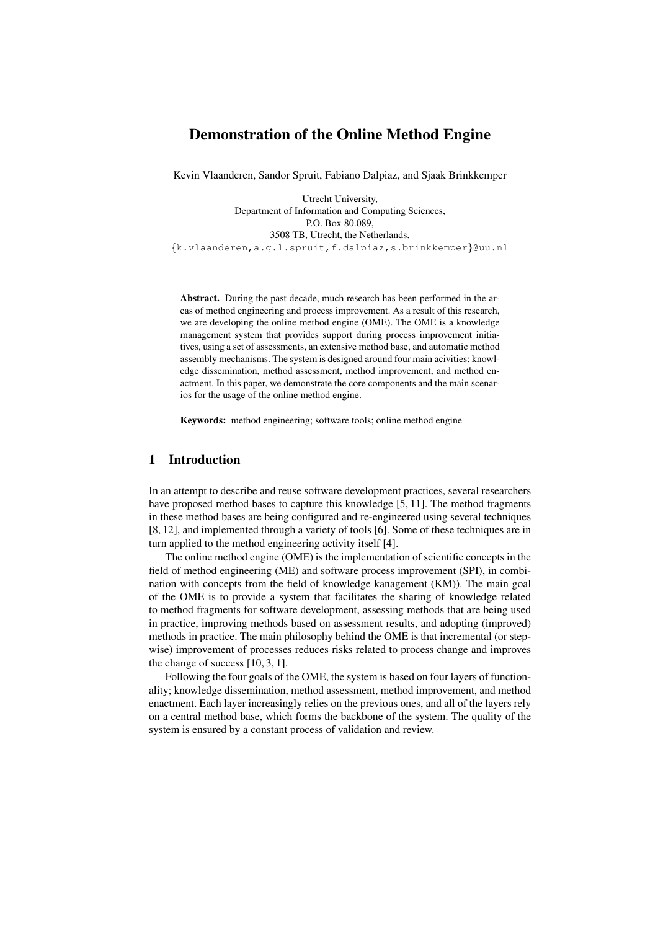# Demonstration of the Online Method Engine

Kevin Vlaanderen, Sandor Spruit, Fabiano Dalpiaz, and Sjaak Brinkkemper

Utrecht University, Department of Information and Computing Sciences, P.O. Box 80.089, 3508 TB, Utrecht, the Netherlands, {k.vlaanderen,a.g.l.spruit,f.dalpiaz,s.brinkkemper}@uu.nl

Abstract. During the past decade, much research has been performed in the areas of method engineering and process improvement. As a result of this research, we are developing the online method engine (OME). The OME is a knowledge management system that provides support during process improvement initiatives, using a set of assessments, an extensive method base, and automatic method assembly mechanisms. The system is designed around four main acivities: knowledge dissemination, method assessment, method improvement, and method enactment. In this paper, we demonstrate the core components and the main scenarios for the usage of the online method engine.

Keywords: method engineering; software tools; online method engine

## 1 Introduction

In an attempt to describe and reuse software development practices, several researchers have proposed method bases to capture this knowledge [5, 11]. The method fragments in these method bases are being configured and re-engineered using several techniques [8, 12], and implemented through a variety of tools [6]. Some of these techniques are in turn applied to the method engineering activity itself [4].

The online method engine (OME) is the implementation of scientific concepts in the field of method engineering (ME) and software process improvement (SPI), in combination with concepts from the field of knowledge kanagement (KM)). The main goal of the OME is to provide a system that facilitates the sharing of knowledge related to method fragments for software development, assessing methods that are being used in practice, improving methods based on assessment results, and adopting (improved) methods in practice. The main philosophy behind the OME is that incremental (or stepwise) improvement of processes reduces risks related to process change and improves the change of success [10, 3, 1].

Following the four goals of the OME, the system is based on four layers of functionality; knowledge dissemination, method assessment, method improvement, and method enactment. Each layer increasingly relies on the previous ones, and all of the layers rely on a central method base, which forms the backbone of the system. The quality of the system is ensured by a constant process of validation and review.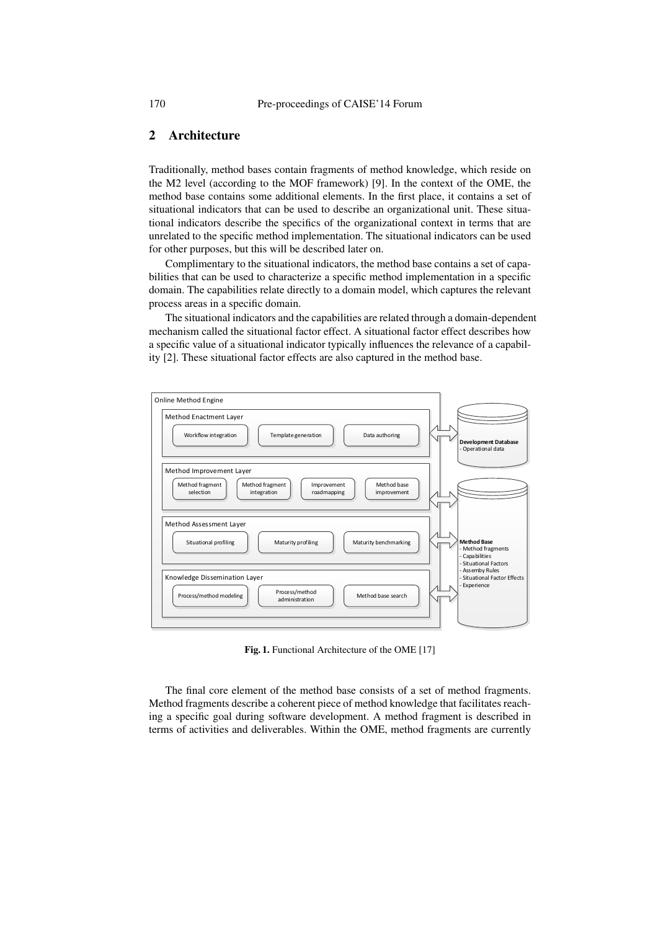## 2 Architecture

Traditionally, method bases contain fragments of method knowledge, which reside on the M2 level (according to the MOF framework) [9]. In the context of the OME, the method base contains some additional elements. In the first place, it contains a set of situational indicators that can be used to describe an organizational unit. These situational indicators describe the specifics of the organizational context in terms that are unrelated to the specific method implementation. The situational indicators can be used for other purposes, but this will be described later on.

Complimentary to the situational indicators, the method base contains a set of capabilities that can be used to characterize a specific method implementation in a specific domain. The capabilities relate directly to a domain model, which captures the relevant process areas in a specific domain.

The situational indicators and the capabilities are related through a domain-dependent mechanism called the situational factor effect. A situational factor effect describes how a specific value of a situational indicator typically influences the relevance of a capability [2]. These situational factor effects are also captured in the method base.



Fig. 1. Functional Architecture of the OME [17]

The final core element of the method base consists of a set of method fragments. Method fragments describe a coherent piece of method knowledge that facilitates reaching a specific goal during software development. A method fragment is described in terms of activities and deliverables. Within the OME, method fragments are currently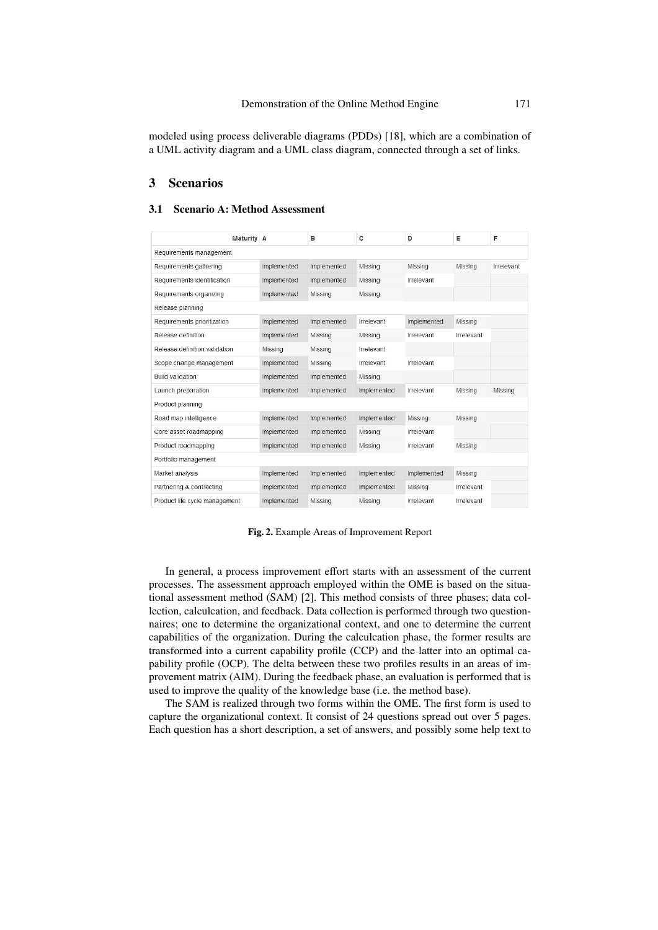#### Demonstration of the Online Method Engine 171

modeled using process deliverable diagrams (PDDs) [18], which are a combination of a UML activity diagram and a UML class diagram, connected through a set of links.

## 3 Scenarios

#### 3.1 Scenario A: Method Assessment

| Maturity A                    |             | B           | c           | D           | Ε                 | F          |
|-------------------------------|-------------|-------------|-------------|-------------|-------------------|------------|
| Requirements management       |             |             |             |             |                   |            |
| Requirements gathering        | Implemented | Implemented | Missing     | Missing     | Missing           | Irrelevant |
| Requirements identification   | Implemented | Implemented | Missing     | Irrelevant  |                   |            |
| Requirements organizing       | Implemented | Missing     | Missing     |             |                   |            |
| Release planning              |             |             |             |             |                   |            |
| Requirements prioritization   | Implemented | Implemented | Irrelevant  | Implemented | Missing           |            |
| Release definition            | Implemented | Missing     | Missing     | Irrelevant  | Irrelevant        |            |
| Release definition validation | Missing     | Missing     | Irrelevant  |             |                   |            |
| Scope change management       | Implemented | Missing     | Irrelevant  | Irrelevant  |                   |            |
| <b>Build validation</b>       | Implemented | Implemented | Missing     |             |                   |            |
| Launch preparation            | Implemented | Implemented | Implemented | Irrelevant  | Missing           | Missing    |
| Product planning              |             |             |             |             |                   |            |
| Road map intelligence         | Implemented | Implemented | Implemented | Missing     | Missing           |            |
| Core asset roadmapping        | Implemented | Implemented | Missing     | Irrelevant  |                   |            |
| Product roadmapping           | Implemented | Implemented | Missing     | Irrelevant  | Missing           |            |
| Portfolio management          |             |             |             |             |                   |            |
| Market analysis               | Implemented | Implemented | Implemented | Implemented | Missing           |            |
| Partnering & contracting      | Implemented | Implemented | Implemented | Missing     | <i>Irrelevant</i> |            |
| Product life cycle management | Implemented | Missing     | Missing     | Irrelevant  | Irrelevant        |            |

Fig. 2. Example Areas of Improvement Report

In general, a process improvement effort starts with an assessment of the current processes. The assessment approach employed within the OME is based on the situational assessment method (SAM) [2]. This method consists of three phases; data collection, calculcation, and feedback. Data collection is performed through two questionnaires; one to determine the organizational context, and one to determine the current capabilities of the organization. During the calculcation phase, the former results are transformed into a current capability profile (CCP) and the latter into an optimal capability profile (OCP). The delta between these two profiles results in an areas of improvement matrix (AIM). During the feedback phase, an evaluation is performed that is used to improve the quality of the knowledge base (i.e. the method base).

The SAM is realized through two forms within the OME. The first form is used to capture the organizational context. It consist of 24 questions spread out over 5 pages. Each question has a short description, a set of answers, and possibly some help text to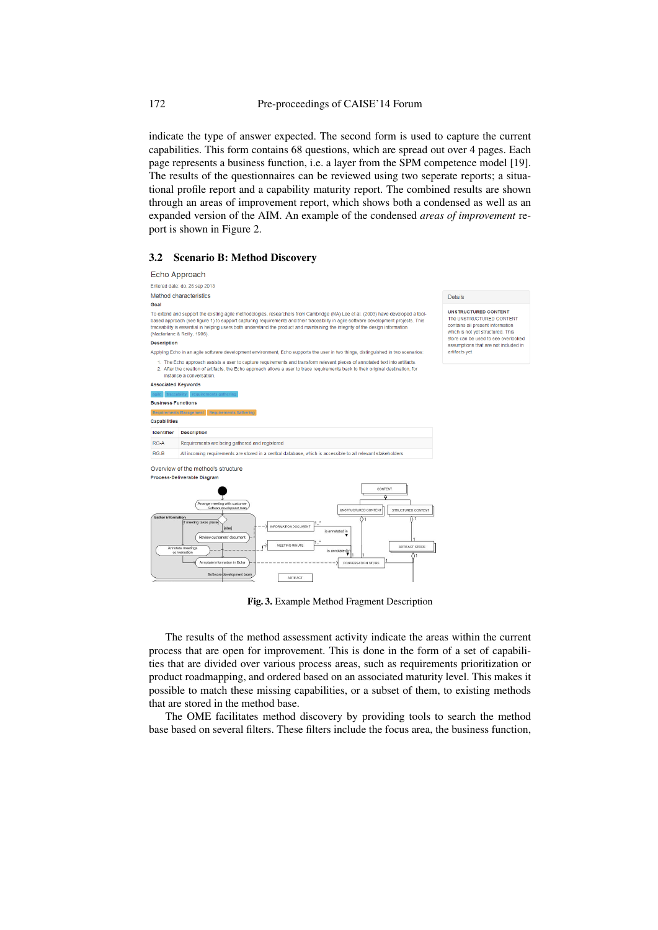indicate the type of answer expected. The second form is used to capture the current capabilities. This form contains 68 questions, which are spread out over 4 pages. Each page represents a business function, i.e. a layer from the SPM competence model [19]. The results of the questionnaires can be reviewed using two seperate reports; a situational profile report and a capability maturity report. The combined results are shown through an areas of improvement report, which shows both a condensed as well as an expanded version of the AIM. An example of the condensed *areas of improvement* report is shown in Figure 2.

#### 3.2 Scenario B: Method Discovery



Fig. 3. Example Method Fragment Description

The results of the method assessment activity indicate the areas within the current process that are open for improvement. This is done in the form of a set of capabilities that are divided over various process areas, such as requirements prioritization or product roadmapping, and ordered based on an associated maturity level. This makes it possible to match these missing capabilities, or a subset of them, to existing methods that are stored in the method base.

The OME facilitates method discovery by providing tools to search the method base based on several filters. These filters include the focus area, the business function,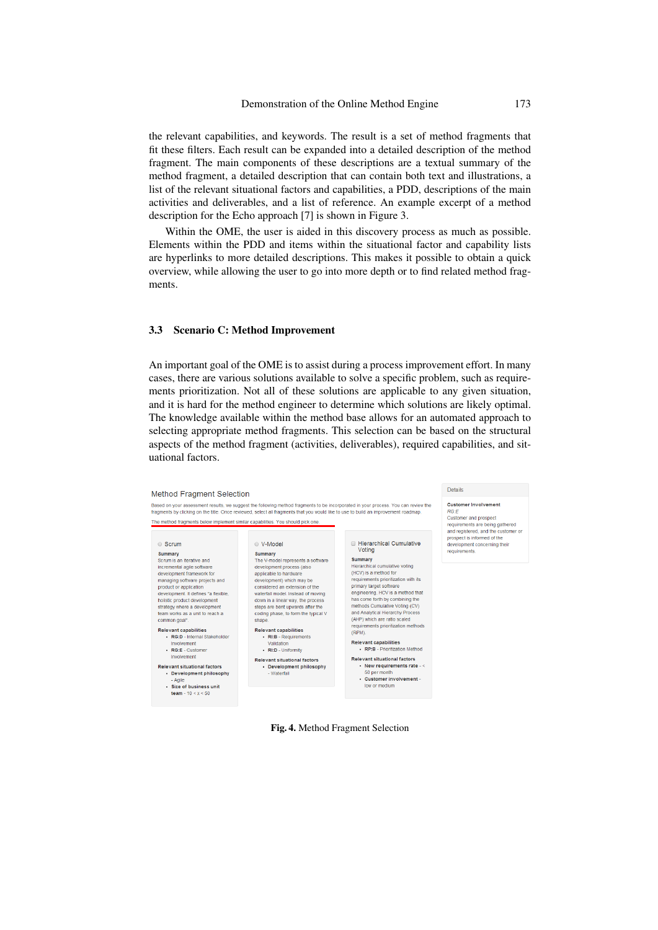the relevant capabilities, and keywords. The result is a set of method fragments that fit these filters. Each result can be expanded into a detailed description of the method fragment. The main components of these descriptions are a textual summary of the method fragment, a detailed description that can contain both text and illustrations, a list of the relevant situational factors and capabilities, a PDD, descriptions of the main activities and deliverables, and a list of reference. An example excerpt of a method description for the Echo approach [7] is shown in Figure 3.

Within the OME, the user is aided in this discovery process as much as possible. Elements within the PDD and items within the situational factor and capability lists are hyperlinks to more detailed descriptions. This makes it possible to obtain a quick overview, while allowing the user to go into more depth or to find related method fragments.

#### 3.3 Scenario C: Method Improvement

An important goal of the OME is to assist during a process improvement effort. In many cases, there are various solutions available to solve a specific problem, such as requirements prioritization. Not all of these solutions are applicable to any given situation, and it is hard for the method engineer to determine which solutions are likely optimal. The knowledge available within the method base allows for an automated approach to selecting appropriate method fragments. This selection can be based on the structural aspects of the method fragment (activities, deliverables), required capabilities, and situational factors.



Fig. 4. Method Fragment Selection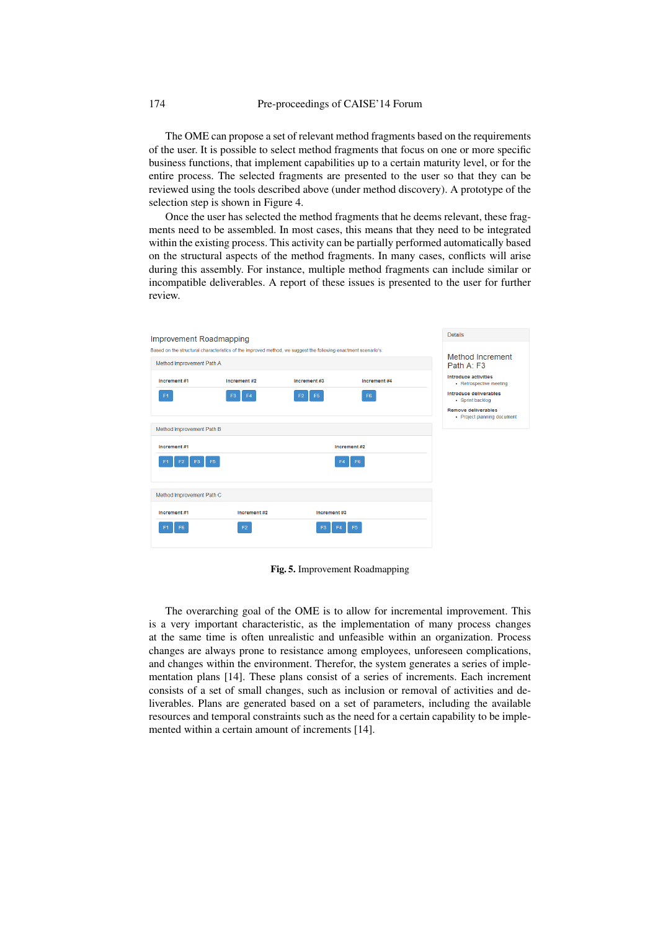The OME can propose a set of relevant method fragments based on the requirements of the user. It is possible to select method fragments that focus on one or more specific business functions, that implement capabilities up to a certain maturity level, or for the entire process. The selected fragments are presented to the user so that they can be reviewed using the tools described above (under method discovery). A prototype of the selection step is shown in Figure 4.

Once the user has selected the method fragments that he deems relevant, these fragments need to be assembled. In most cases, this means that they need to be integrated within the existing process. This activity can be partially performed automatically based on the structural aspects of the method fragments. In many cases, conflicts will arise during this assembly. For instance, multiple method fragments can include similar or incompatible deliverables. A report of these issues is presented to the user for further review.



Fig. 5. Improvement Roadmapping

The overarching goal of the OME is to allow for incremental improvement. This is a very important characteristic, as the implementation of many process changes at the same time is often unrealistic and unfeasible within an organization. Process changes are always prone to resistance among employees, unforeseen complications, and changes within the environment. Therefor, the system generates a series of implementation plans [14]. These plans consist of a series of increments. Each increment consists of a set of small changes, such as inclusion or removal of activities and deliverables. Plans are generated based on a set of parameters, including the available resources and temporal constraints such as the need for a certain capability to be implemented within a certain amount of increments [14].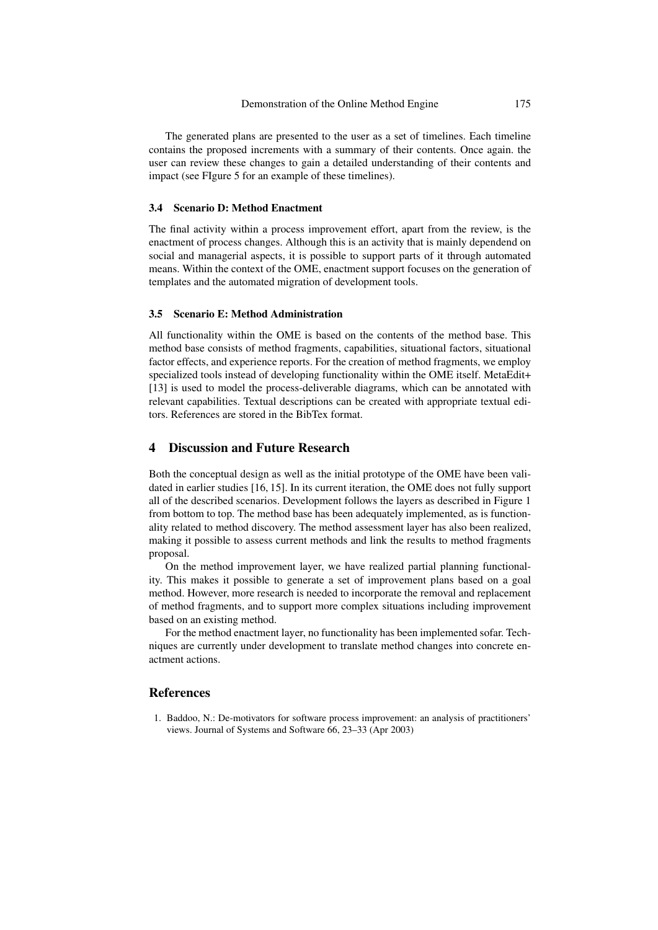The generated plans are presented to the user as a set of timelines. Each timeline contains the proposed increments with a summary of their contents. Once again. the user can review these changes to gain a detailed understanding of their contents and impact (see FIgure 5 for an example of these timelines).

#### 3.4 Scenario D: Method Enactment

The final activity within a process improvement effort, apart from the review, is the enactment of process changes. Although this is an activity that is mainly dependend on social and managerial aspects, it is possible to support parts of it through automated means. Within the context of the OME, enactment support focuses on the generation of templates and the automated migration of development tools.

## 3.5 Scenario E: Method Administration

All functionality within the OME is based on the contents of the method base. This method base consists of method fragments, capabilities, situational factors, situational factor effects, and experience reports. For the creation of method fragments, we employ specialized tools instead of developing functionality within the OME itself. MetaEdit+ [13] is used to model the process-deliverable diagrams, which can be annotated with relevant capabilities. Textual descriptions can be created with appropriate textual editors. References are stored in the BibTex format.

## 4 Discussion and Future Research

Both the conceptual design as well as the initial prototype of the OME have been validated in earlier studies [16, 15]. In its current iteration, the OME does not fully support all of the described scenarios. Development follows the layers as described in Figure 1 from bottom to top. The method base has been adequately implemented, as is functionality related to method discovery. The method assessment layer has also been realized, making it possible to assess current methods and link the results to method fragments proposal.

On the method improvement layer, we have realized partial planning functionality. This makes it possible to generate a set of improvement plans based on a goal method. However, more research is needed to incorporate the removal and replacement of method fragments, and to support more complex situations including improvement based on an existing method.

For the method enactment layer, no functionality has been implemented sofar. Techniques are currently under development to translate method changes into concrete enactment actions.

### References

1. Baddoo, N.: De-motivators for software process improvement: an analysis of practitioners' views. Journal of Systems and Software 66, 23–33 (Apr 2003)